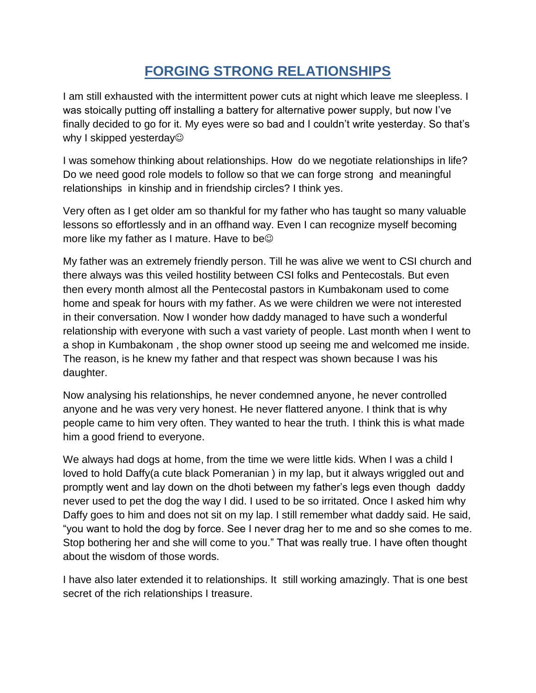## **FORGING STRONG RELATIONSHIPS**

I am still exhausted with the intermittent power cuts at night which leave me sleepless. I was stoically putting off installing a battery for alternative power supply, but now I've finally decided to go for it. My eyes were so bad and I couldn't write yesterday. So that's why I skipped yesterday<sup>®</sup>

I was somehow thinking about relationships. How do we negotiate relationships in life? Do we need good role models to follow so that we can forge strong and meaningful relationships in kinship and in friendship circles? I think yes.

Very often as I get older am so thankful for my father who has taught so many valuable lessons so effortlessly and in an offhand way. Even I can recognize myself becoming more like my father as I mature. Have to be

My father was an extremely friendly person. Till he was alive we went to CSI church and there always was this veiled hostility between CSI folks and Pentecostals. But even then every month almost all the Pentecostal pastors in Kumbakonam used to come home and speak for hours with my father. As we were children we were not interested in their conversation. Now I wonder how daddy managed to have such a wonderful relationship with everyone with such a vast variety of people. Last month when I went to a shop in Kumbakonam , the shop owner stood up seeing me and welcomed me inside. The reason, is he knew my father and that respect was shown because I was his daughter.

Now analysing his relationships, he never condemned anyone, he never controlled anyone and he was very very honest. He never flattered anyone. I think that is why people came to him very often. They wanted to hear the truth. I think this is what made him a good friend to everyone.

We always had dogs at home, from the time we were little kids. When I was a child I loved to hold Daffy(a cute black Pomeranian ) in my lap, but it always wriggled out and promptly went and lay down on the dhoti between my father's legs even though daddy never used to pet the dog the way I did. I used to be so irritated. Once I asked him why Daffy goes to him and does not sit on my lap. I still remember what daddy said. He said, "you want to hold the dog by force. See I never drag her to me and so she comes to me. Stop bothering her and she will come to you." That was really true. I have often thought about the wisdom of those words.

I have also later extended it to relationships. It still working amazingly. That is one best secret of the rich relationships I treasure.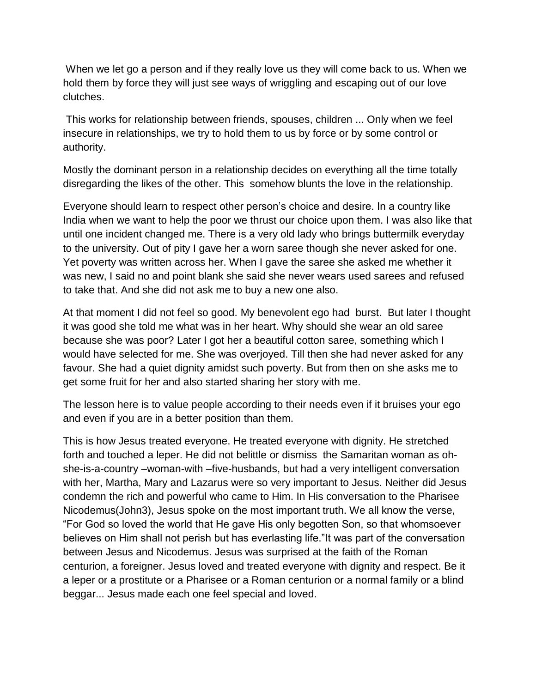When we let go a person and if they really love us they will come back to us. When we hold them by force they will just see ways of wriggling and escaping out of our love clutches.

This works for relationship between friends, spouses, children ... Only when we feel insecure in relationships, we try to hold them to us by force or by some control or authority.

Mostly the dominant person in a relationship decides on everything all the time totally disregarding the likes of the other. This somehow blunts the love in the relationship.

Everyone should learn to respect other person's choice and desire. In a country like India when we want to help the poor we thrust our choice upon them. I was also like that until one incident changed me. There is a very old lady who brings buttermilk everyday to the university. Out of pity I gave her a worn saree though she never asked for one. Yet poverty was written across her. When I gave the saree she asked me whether it was new, I said no and point blank she said she never wears used sarees and refused to take that. And she did not ask me to buy a new one also.

At that moment I did not feel so good. My benevolent ego had burst. But later I thought it was good she told me what was in her heart. Why should she wear an old saree because she was poor? Later I got her a beautiful cotton saree, something which I would have selected for me. She was overjoyed. Till then she had never asked for any favour. She had a quiet dignity amidst such poverty. But from then on she asks me to get some fruit for her and also started sharing her story with me.

The lesson here is to value people according to their needs even if it bruises your ego and even if you are in a better position than them.

This is how Jesus treated everyone. He treated everyone with dignity. He stretched forth and touched a leper. He did not belittle or dismiss the Samaritan woman as ohshe-is-a-country –woman-with –five-husbands, but had a very intelligent conversation with her, Martha, Mary and Lazarus were so very important to Jesus. Neither did Jesus condemn the rich and powerful who came to Him. In His conversation to the Pharisee Nicodemus(John3), Jesus spoke on the most important truth. We all know the verse, "For God so loved the world that He gave His only begotten Son, so that whomsoever believes on Him shall not perish but has everlasting life."It was part of the conversation between Jesus and Nicodemus. Jesus was surprised at the faith of the Roman centurion, a foreigner. Jesus loved and treated everyone with dignity and respect. Be it a leper or a prostitute or a Pharisee or a Roman centurion or a normal family or a blind beggar... Jesus made each one feel special and loved.